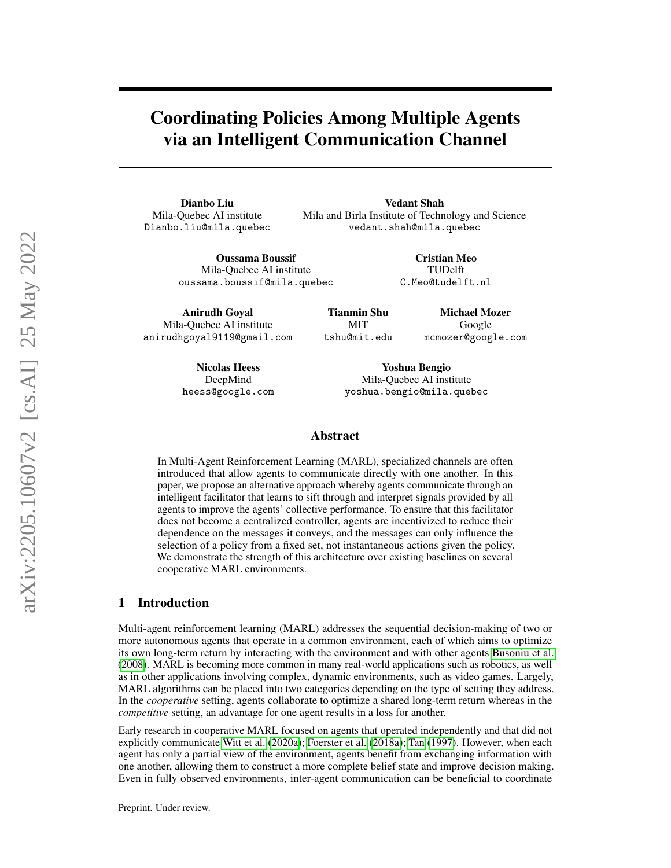# Coordinating Policies Among Multiple Agents via an Intelligent Communication Channel

Dianbo Liu Mila-Quebec AI institute Dianbo.liu@mila.quebec

Anirudh Goyal Mila-Quebec AI institute anirudhgoyal9119@gmail.com

Vedant Shah Mila and Birla Institute of Technology and Science vedant.shah@mila.quebec

> Cristian Meo TUDelft

Oussama Boussif Mila-Quebec AI institute oussama.boussif@mila.quebec

C.Meo@tudelft.nl

Tianmin Shu MIT tshu@mit.edu Michael Mozer Google mcmozer@google.com

Nicolas Heess DeepMind heess@google.com

Yoshua Bengio Mila-Quebec AI institute yoshua.bengio@mila.quebec

#### Abstract

In Multi-Agent Reinforcement Learning (MARL), specialized channels are often introduced that allow agents to communicate directly with one another. In this paper, we propose an alternative approach whereby agents communicate through an intelligent facilitator that learns to sift through and interpret signals provided by all agents to improve the agents' collective performance. To ensure that this facilitator does not become a centralized controller, agents are incentivized to reduce their dependence on the messages it conveys, and the messages can only influence the selection of a policy from a fixed set, not instantaneous actions given the policy. We demonstrate the strength of this architecture over existing baselines on several cooperative MARL environments.

## 1 Introduction

Multi-agent reinforcement learning (MARL) addresses the sequential decision-making of two or more autonomous agents that operate in a common environment, each of which aims to optimize its own long-term return by interacting with the environment and with other agents [Busoniu et al.](#page-9-0) [\(2008\)](#page-9-0). MARL is becoming more common in many real-world applications such as robotics, as well as in other applications involving complex, dynamic environments, such as video games. Largely, MARL algorithms can be placed into two categories depending on the type of setting they address. In the *cooperative* setting, agents collaborate to optimize a shared long-term return whereas in the *competitive* setting, an advantage for one agent results in a loss for another.

Early research in cooperative MARL focused on agents that operated independently and that did not explicitly communicate [Witt et al.](#page-12-0) [\(2020a\)](#page-12-0); [Foerster et al.](#page-10-0) [\(2018a\)](#page-10-0); [Tan](#page-12-1) [\(1997\)](#page-12-1). However, when each agent has only a partial view of the environment, agents benefit from exchanging information with one another, allowing them to construct a more complete belief state and improve decision making. Even in fully observed environments, inter-agent communication can be beneficial to coordinate

Preprint. Under review.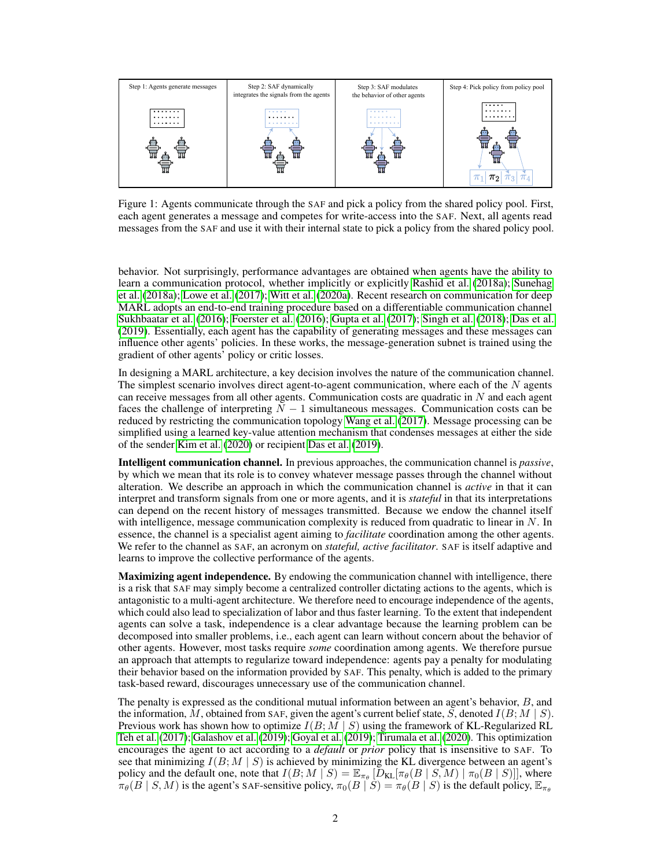

<span id="page-1-0"></span>Figure 1: Agents communicate through the SAF and pick a policy from the shared policy pool. First, each agent generates a message and competes for write-access into the SAF. Next, all agents read messages from the SAF and use it with their internal state to pick a policy from the shared policy pool.

behavior. Not surprisingly, performance advantages are obtained when agents have the ability to learn a communication protocol, whether implicitly or explicitly [Rashid et al.](#page-11-0) [\(2018a\)](#page-11-0); [Sunehag](#page-11-1) [et al.](#page-11-1) [\(2018a\)](#page-11-1); [Lowe et al.](#page-11-2) [\(2017\)](#page-11-2); [Witt et al.](#page-12-0) [\(2020a\)](#page-12-0). Recent research on communication for deep MARL adopts an end-to-end training procedure based on a differentiable communication channel [Sukhbaatar et al.](#page-11-3) [\(2016\)](#page-11-3); [Foerster et al.](#page-10-1) [\(2016\)](#page-10-1); [Gupta et al.](#page-10-2) [\(2017\)](#page-10-2); [Singh et al.](#page-11-4) [\(2018\)](#page-11-4); [Das et al.](#page-10-3) [\(2019\)](#page-10-3). Essentially, each agent has the capability of generating messages and these messages can influence other agents' policies. In these works, the message-generation subnet is trained using the gradient of other agents' policy or critic losses.

In designing a MARL architecture, a key decision involves the nature of the communication channel. The simplest scenario involves direct agent-to-agent communication, where each of the  $N$  agents can receive messages from all other agents. Communication costs are quadratic in  $N$  and each agent faces the challenge of interpreting  $N - 1$  simultaneous messages. Communication costs can be reduced by restricting the communication topology [Wang et al.](#page-12-2) [\(2017\)](#page-12-2). Message processing can be simplified using a learned key-value attention mechanism that condenses messages at either the side of the sender [Kim et al.](#page-10-4) [\(2020\)](#page-10-4) or recipient [Das et al.](#page-10-3) [\(2019\)](#page-10-3).

Intelligent communication channel. In previous approaches, the communication channel is *passive*, by which we mean that its role is to convey whatever message passes through the channel without alteration. We describe an approach in which the communication channel is *active* in that it can interpret and transform signals from one or more agents, and it is *stateful* in that its interpretations can depend on the recent history of messages transmitted. Because we endow the channel itself with intelligence, message communication complexity is reduced from quadratic to linear in  $N$ . In essence, the channel is a specialist agent aiming to *facilitate* coordination among the other agents. We refer to the channel as SAF, an acronym on *stateful, active facilitator*. SAF is itself adaptive and learns to improve the collective performance of the agents.

**Maximizing agent independence.** By endowing the communication channel with intelligence, there is a risk that SAF may simply become a centralized controller dictating actions to the agents, which is antagonistic to a multi-agent architecture. We therefore need to encourage independence of the agents, which could also lead to specialization of labor and thus faster learning. To the extent that independent agents can solve a task, independence is a clear advantage because the learning problem can be decomposed into smaller problems, i.e., each agent can learn without concern about the behavior of other agents. However, most tasks require *some* coordination among agents. We therefore pursue an approach that attempts to regularize toward independence: agents pay a penalty for modulating their behavior based on the information provided by SAF. This penalty, which is added to the primary task-based reward, discourages unnecessary use of the communication channel.

The penalty is expressed as the conditional mutual information between an agent's behavior, B, and the information, M, obtained from SAF, given the agent's current belief state, S, denoted  $I(B; M | S)$ . Previous work has shown how to optimize  $I(B; M | S)$  using the framework of KL-Regularized RL [Teh et al.](#page-12-3) [\(2017\)](#page-12-3); [Galashov et al.](#page-10-5) [\(2019\)](#page-10-5); [Goyal et al.](#page-10-6) [\(2019\)](#page-10-6); [Tirumala et al.](#page-12-4) [\(2020\)](#page-12-4). This optimization encourages the agent to act according to a *default* or *prior* policy that is insensitive to SAF. To see that minimizing  $I(B; M | S)$  is achieved by minimizing the KL divergence between an agent's policy and the default one, note that  $I(B; M | S) = \mathbb{E}_{\pi_{\theta}} [\tilde{D}_{KL}[\pi_{\theta}(B | S, M) | \pi_0(B | S)]]$ , where  $\pi_{\theta}(B \mid S, M)$  is the agent's SAF-sensitive policy,  $\pi_0(B \mid S) = \pi_{\theta}(B \mid S)$  is the default policy,  $\mathbb{E}_{\pi_{\theta}}$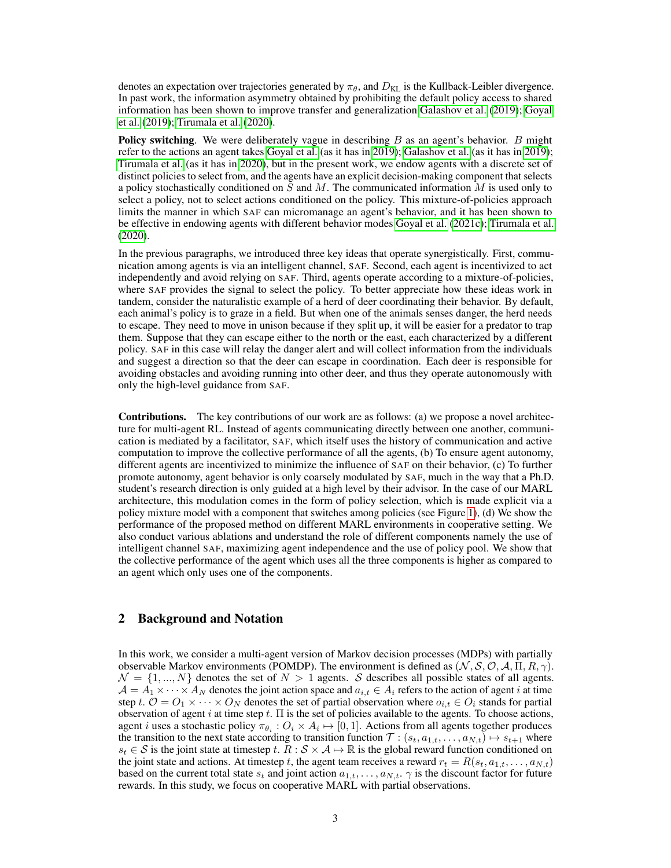denotes an expectation over trajectories generated by  $\pi_{\theta}$ , and  $D_{\text{KL}}$  is the Kullback-Leibler divergence. In past work, the information asymmetry obtained by prohibiting the default policy access to shared information has been shown to improve transfer and generalization [Galashov et al.](#page-10-5) [\(2019\)](#page-10-5); [Goyal](#page-10-6) [et al.](#page-10-6) [\(2019\)](#page-10-6); [Tirumala et al.](#page-12-4) [\(2020\)](#page-12-4).

**Policy switching.** We were deliberately vague in describing  $B$  as an agent's behavior.  $B$  might refer to the actions an agent takes [Goyal et al.](#page-10-6) (as it has in [2019\)](#page-10-6); [Galashov et al.](#page-10-5) (as it has in [2019\)](#page-10-5); [Tirumala et al.](#page-12-4) (as it has in [2020\)](#page-12-4), but in the present work, we endow agents with a discrete set of distinct policies to select from, and the agents have an explicit decision-making component that selects a policy stochastically conditioned on S and M. The communicated information M is used only to select a policy, not to select actions conditioned on the policy. This mixture-of-policies approach limits the manner in which SAF can micromanage an agent's behavior, and it has been shown to be effective in endowing agents with different behavior modes [Goyal et al.](#page-10-7) [\(2021c\)](#page-10-7); [Tirumala et al.](#page-12-4) [\(2020\)](#page-12-4).

In the previous paragraphs, we introduced three key ideas that operate synergistically. First, communication among agents is via an intelligent channel, SAF. Second, each agent is incentivized to act independently and avoid relying on SAF. Third, agents operate according to a mixture-of-policies, where SAF provides the signal to select the policy. To better appreciate how these ideas work in tandem, consider the naturalistic example of a herd of deer coordinating their behavior. By default, each animal's policy is to graze in a field. But when one of the animals senses danger, the herd needs to escape. They need to move in unison because if they split up, it will be easier for a predator to trap them. Suppose that they can escape either to the north or the east, each characterized by a different policy. SAF in this case will relay the danger alert and will collect information from the individuals and suggest a direction so that the deer can escape in coordination. Each deer is responsible for avoiding obstacles and avoiding running into other deer, and thus they operate autonomously with only the high-level guidance from SAF.

Contributions. The key contributions of our work are as follows: (a) we propose a novel architecture for multi-agent RL. Instead of agents communicating directly between one another, communication is mediated by a facilitator, SAF, which itself uses the history of communication and active computation to improve the collective performance of all the agents, (b) To ensure agent autonomy, different agents are incentivized to minimize the influence of SAF on their behavior, (c) To further promote autonomy, agent behavior is only coarsely modulated by SAF, much in the way that a Ph.D. student's research direction is only guided at a high level by their advisor. In the case of our MARL architecture, this modulation comes in the form of policy selection, which is made explicit via a policy mixture model with a component that switches among policies (see Figure [1\)](#page-1-0), (d) We show the performance of the proposed method on different MARL environments in cooperative setting. We also conduct various ablations and understand the role of different components namely the use of intelligent channel SAF, maximizing agent independence and the use of policy pool. We show that the collective performance of the agent which uses all the three components is higher as compared to an agent which only uses one of the components.

## 2 Background and Notation

In this work, we consider a multi-agent version of Markov decision processes (MDPs) with partially observable Markov environments (POMDP). The environment is defined as  $(\mathcal{N}, \mathcal{S}, \mathcal{O}, \mathcal{A}, \Pi, R, \gamma)$ .  $\mathcal{N} = \{1, ..., N\}$  denotes the set of  $N > 1$  agents. S describes all possible states of all agents.  $\mathcal{A} = A_1 \times \cdots \times A_N$  denotes the joint action space and  $a_{i,t} \in A_i$  refers to the action of agent i at time step t.  $\mathcal{O} = O_1 \times \cdots \times O_N$  denotes the set of partial observation where  $o_{i,t} \in O_i$  stands for partial observation of agent i at time step t.  $\Pi$  is the set of policies available to the agents. To choose actions, agent *i* uses a stochastic policy  $\pi_{\theta_i}: O_i \times A_i \mapsto [0, 1]$ . Actions from all agents together produces the transition to the next state according to transition function  $\mathcal{T}$  :  $(s_t, a_{1,t}, \ldots, a_{N,t}) \mapsto s_{t+1}$  where  $s_t \in S$  is the joint state at timestep t.  $R : S \times A \mapsto \mathbb{R}$  is the global reward function conditioned on the joint state and actions. At timestep t, the agent team receives a reward  $r_t = R(s_t, a_{1,t}, \dots, a_{N,t})$ based on the current total state  $s_t$  and joint action  $a_{1,t}, \ldots, a_{N,t}$ .  $\gamma$  is the discount factor for future rewards. In this study, we focus on cooperative MARL with partial observations.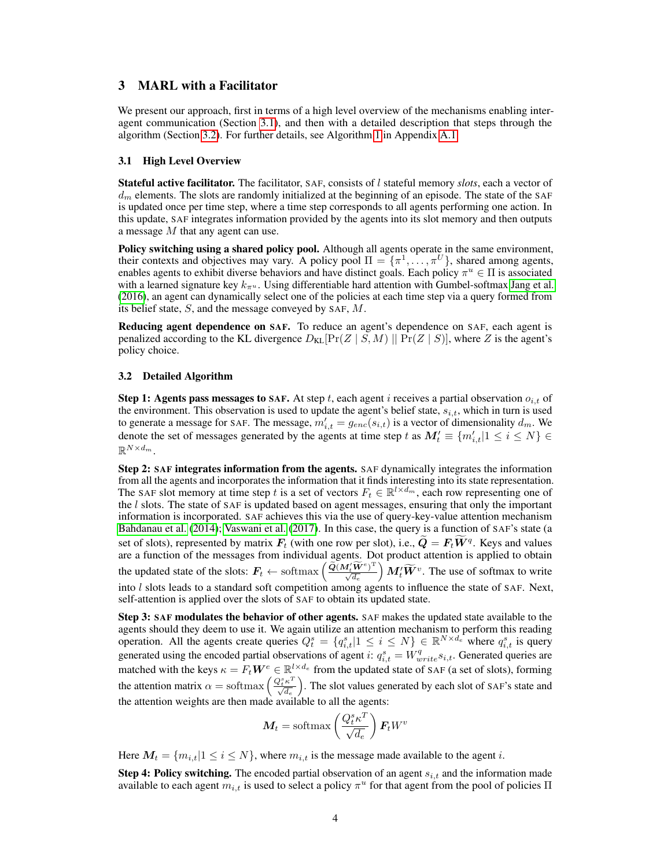## 3 MARL with a Facilitator

We present our approach, first in terms of a high level overview of the mechanisms enabling interagent communication (Section [3.1\)](#page-3-0), and then with a detailed description that steps through the algorithm (Section [3.2\)](#page-3-1). For further details, see Algorithm [1](#page-13-0) in Appendix [A.1.](#page-12-5)

#### <span id="page-3-0"></span>3.1 High Level Overview

Stateful active facilitator. The facilitator, SAF, consists of l stateful memory *slots*, each a vector of  $d_m$  elements. The slots are randomly initialized at the beginning of an episode. The state of the SAF is updated once per time step, where a time step corresponds to all agents performing one action. In this update, SAF integrates information provided by the agents into its slot memory and then outputs a message M that any agent can use.

Policy switching using a shared policy pool. Although all agents operate in the same environment, their contexts and objectives may vary. A policy pool  $\Pi = {\pi^1, \dots, \pi^U}$ , shared among agents, enables agents to exhibit diverse behaviors and have distinct goals. Each policy  $\pi^u \in \Pi$  is associated with a learned signature key  $k_{\pi^u}$ . Using differentiable hard attention with Gumbel-softmax [Jang et al.](#page-10-8) [\(2016\)](#page-10-8), an agent can dynamically select one of the policies at each time step via a query formed from its belief state,  $S$ , and the message conveyed by SAF,  $M$ .

Reducing agent dependence on SAF. To reduce an agent's dependence on SAF, each agent is penalized according to the KL divergence  $D_{KL}[Pr(Z | S, M)]$  |  $Pr(Z | S)$ ], where Z is the agent's policy choice.

#### <span id="page-3-1"></span>3.2 Detailed Algorithm

**Step 1: Agents pass messages to SAF.** At step t, each agent i receives a partial observation  $o_{i,t}$  of the environment. This observation is used to update the agent's belief state,  $s_{i,t}$ , which in turn is used to generate a message for SAF. The message,  $m'_{i,t} = g_{enc}(s_{i,t})$  is a vector of dimensionality  $d_m$ . We denote the set of messages generated by the agents at time step t as  $M_t' \equiv \{m'_{i,t}|1 \leq i \leq N\} \in$  $\mathbb{R}^{N \times d_m}$ .

Step 2: SAF integrates information from the agents. SAF dynamically integrates the information from all the agents and incorporates the information that it finds interesting into its state representation. The SAF slot memory at time step t is a set of vectors  $F_t \in \mathbb{R}^{l \times d_m}$ , each row representing one of the  $l$  slots. The state of SAF is updated based on agent messages, ensuring that only the important information is incorporated. SAF achieves this via the use of query-key-value attention mechanism [Bahdanau et al.](#page-9-1) [\(2014\)](#page-9-1); [Vaswani et al.](#page-12-6) [\(2017\)](#page-12-6). In this case, the query is a function of SAF's state (a set of slots), represented by matrix  $F_t$  (with one row per slot), i.e.,  $\tilde{Q} = F_t \tilde{W}^q$ . Keys and values are a function of the messages from individual agents. Dot product attention is applied to obtain the updated state of the slots:  $\bm{F}_t \leftarrow \text{softmax} \left( \frac{\widetilde{\bm{Q}} (\bm{M}_t^{\prime} \widetilde{\bm{W}}^{e})^{\text{T}}}{\sqrt{d_e}} \right)$  $\Bigl)$   $M_t' \widetilde{W}^v$ . The use of softmax to write into l slots leads to a standard soft competition among agents to influence the state of SAF. Next, self-attention is applied over the slots of SAF to obtain its updated state.

Step 3: SAF modulates the behavior of other agents. SAF makes the updated state available to the agents should they deem to use it. We again utilize an attention mechanism to perform this reading operation. All the agents create queries  $Q_t^s = \{q_{i,t}^s | 1 \le i \le N\} \in \mathbb{R}^{N \times d_e}$  where  $q_{i,t}^s$  is query generated using the encoded partial observations of agent i:  $q_{i,t}^s = W_{write}^q s_{i,t}$ . Generated queries are matched with the keys  $\kappa = F_t \bm{W}^e \in \mathbb{R}^{l \times d_e}$  from the updated state of SAF (a set of slots), forming the attention matrix  $\alpha = \text{softmax}\left(\frac{Q_t^s \kappa^T}{\sqrt{d_e}}\right)$  . The slot values generated by each slot of SAF's state and the attention weights are then made available to all the agents:

$$
M_t = \text{softmax}\left(\frac{Q_t^s \kappa^T}{\sqrt{d_e}}\right) F_t W^v
$$

Here  $M_t = \{m_{i,t}|1 \leq i \leq N\}$ , where  $m_{i,t}$  is the message made available to the agent i.

Step 4: Policy switching. The encoded partial observation of an agent  $s_{i,t}$  and the information made available to each agent  $\overline{m}_{i,t}$  is used to select a policy  $\pi^u$  for that agent from the pool of policies  $\Pi$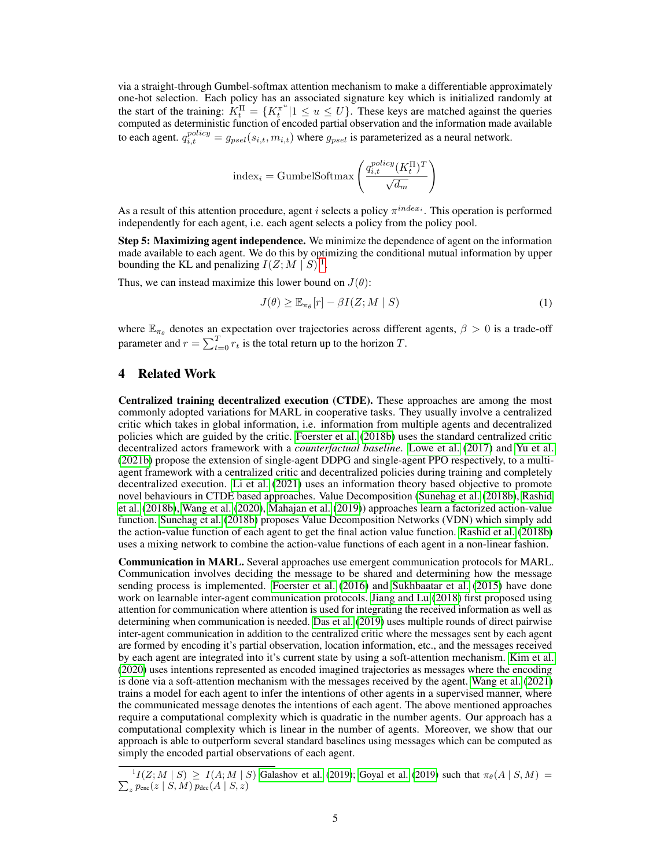via a straight-through Gumbel-softmax attention mechanism to make a differentiable approximately one-hot selection. Each policy has an associated signature key which is initialized randomly at the start of the training:  $K_t^{\Pi} = \{K_t^{\pi^u} | 1 \leq u \leq U\}$ . These keys are matched against the queries computed as deterministic function of encoded partial observation and the information made available to each agent.  $q_{i,t}^{policy} = g_{psel}(s_{i,t}, m_{i,t})$  where  $g_{psel}$  is parameterized as a neural network.

$$
\text{index}_i = \text{GumbelSoftmax}\left(\frac{q_{i,t}^{policy}(K_t^\Pi)^T}{\sqrt{d_m}}\right)
$$

As a result of this attention procedure, agent *i* selects a policy  $\pi^{index_i}$ . This operation is performed independently for each agent, i.e. each agent selects a policy from the policy pool.

Step 5: Maximizing agent independence. We minimize the dependence of agent on the information made available to each agent. We do this by optimizing the conditional mutual information by upper bounding the KL and penalizing  $I(Z; M | S)^{-1}$  $I(Z; M | S)^{-1}$  $I(Z; M | S)^{-1}$ .

Thus, we can instead maximize this lower bound on  $J(\theta)$ :

<span id="page-4-1"></span>
$$
J(\theta) \geq \mathbb{E}_{\pi_{\theta}}[r] - \beta I(Z; M \mid S) \tag{1}
$$

where  $\mathbb{E}_{\pi_{\theta}}$  denotes an expectation over trajectories across different agents,  $\beta > 0$  is a trade-off parameter and  $r = \sum_{t=0}^{T} r_t$  is the total return up to the horizon T.

## 4 Related Work

Centralized training decentralized execution (CTDE). These approaches are among the most commonly adopted variations for MARL in cooperative tasks. They usually involve a centralized critic which takes in global information, i.e. information from multiple agents and decentralized policies which are guided by the critic. [Foerster et al.](#page-10-9) [\(2018b\)](#page-10-9) uses the standard centralized critic decentralized actors framework with a *counterfactual baseline*. [Lowe et al.](#page-11-2) [\(2017\)](#page-11-2) and [Yu et al.](#page-12-7) [\(2021b\)](#page-12-7) propose the extension of single-agent DDPG and single-agent PPO respectively, to a multiagent framework with a centralized critic and decentralized policies during training and completely decentralized execution. [Li et al.](#page-11-5) [\(2021\)](#page-11-5) uses an information theory based objective to promote novel behaviours in CTDE based approaches. Value Decomposition [\(Sunehag et al.](#page-12-8) [\(2018b\)](#page-12-8), [Rashid](#page-11-6) [et al.](#page-11-6) [\(2018b\)](#page-11-6), [Wang et al.](#page-12-9) [\(2020\)](#page-12-9), [Mahajan et al.](#page-11-7) [\(2019\)](#page-11-7)) approaches learn a factorized action-value function. [Sunehag et al.](#page-12-8) [\(2018b\)](#page-12-8) proposes Value Decomposition Networks (VDN) which simply add the action-value function of each agent to get the final action value function. [Rashid et al.](#page-11-6) [\(2018b\)](#page-11-6) uses a mixing network to combine the action-value functions of each agent in a non-linear fashion.

Communication in MARL. Several approaches use emergent communication protocols for MARL. Communication involves deciding the message to be shared and determining how the message sending process is implemented. [Foerster et al.](#page-10-1) [\(2016\)](#page-10-1) and [Sukhbaatar et al.](#page-11-8) [\(2015\)](#page-11-8) have done work on learnable inter-agent communication protocols. [Jiang and Lu](#page-10-10) [\(2018\)](#page-10-10) first proposed using attention for communication where attention is used for integrating the received information as well as determining when communication is needed. [Das et al.](#page-10-3) [\(2019\)](#page-10-3) uses multiple rounds of direct pairwise inter-agent communication in addition to the centralized critic where the messages sent by each agent are formed by encoding it's partial observation, location information, etc., and the messages received by each agent are integrated into it's current state by using a soft-attention mechanism. [Kim et al.](#page-10-4) [\(2020\)](#page-10-4) uses intentions represented as encoded imagined trajectories as messages where the encoding is done via a soft-attention mechanism with the messages received by the agent. [Wang et al.](#page-12-10) [\(2021\)](#page-12-10) trains a model for each agent to infer the intentions of other agents in a supervised manner, where the communicated message denotes the intentions of each agent. The above mentioned approaches require a computational complexity which is quadratic in the number agents. Our approach has a computational complexity which is linear in the number of agents. Moreover, we show that our approach is able to outperform several standard baselines using messages which can be computed as simply the encoded partial observations of each agent.

<span id="page-4-0"></span><sup>1</sup> P  $I(Z; M | S) \ge I(A; M | S)$  [Galashov et al.](#page-10-5) [\(2019\)](#page-10-6); [Goyal et al.](#page-10-6) (2019) such that  $\pi_{\theta}(A | S, M) =$  $\mathcal{L}_z p_{\text{enc}}(z \mid S, M) p_{\text{dec}}(A \mid S, z)$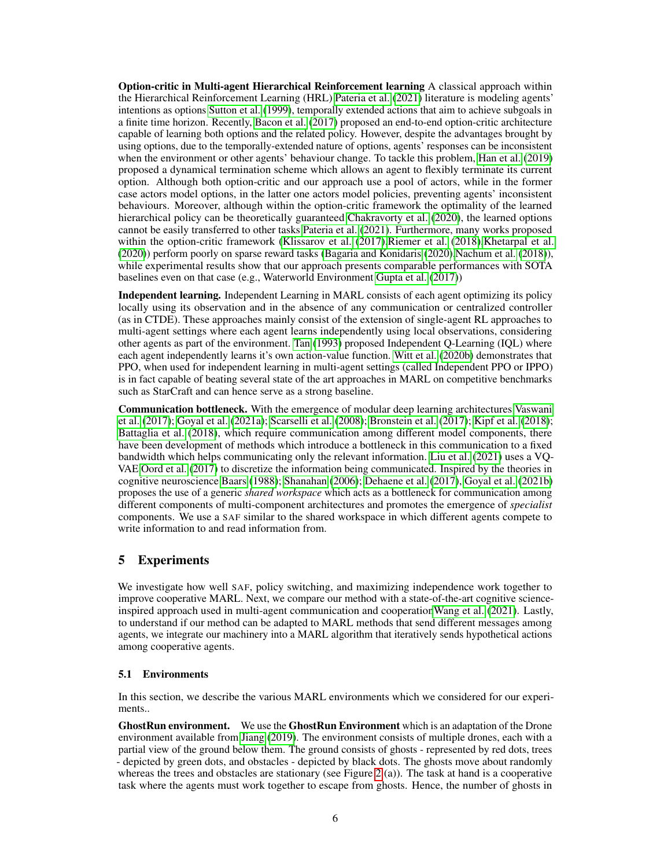Option-critic in Multi-agent Hierarchical Reinforcement learning A classical approach within the Hierarchical Reinforcement Learning (HRL) [Pateria et al.](#page-11-9) [\(2021\)](#page-11-9) literature is modeling agents' intentions as options [Sutton et al.](#page-12-11) [\(1999\)](#page-12-11), temporally extended actions that aim to achieve subgoals in a finite time horizon. Recently, [Bacon et al.](#page-9-2) [\(2017\)](#page-9-2) proposed an end-to-end option-critic architecture capable of learning both options and the related policy. However, despite the advantages brought by using options, due to the temporally-extended nature of options, agents' responses can be inconsistent when the environment or other agents' behaviour change. To tackle this problem, [Han et al.](#page-10-11) [\(2019\)](#page-10-11) proposed a dynamical termination scheme which allows an agent to flexibly terminate its current option. Although both option-critic and our approach use a pool of actors, while in the former case actors model options, in the latter one actors model policies, preventing agents' inconsistent behaviours. Moreover, although within the option-critic framework the optimality of the learned hierarchical policy can be theoretically guaranteed [Chakravorty et al.](#page-10-12) [\(2020\)](#page-10-12), the learned options cannot be easily transferred to other tasks [Pateria et al.](#page-11-9) [\(2021\)](#page-11-9). Furthermore, many works proposed within the option-critic framework [\(Klissarov et al.](#page-11-10) [\(2017\)](#page-11-10)[,Riemer et al.](#page-11-11) [\(2018\)](#page-11-11)[,Khetarpal et al.](#page-10-13) [\(2020\)](#page-10-13)) perform poorly on sparse reward tasks [\(Bagaria and Konidaris](#page-9-3) [\(2020\)](#page-9-3)[,Nachum et al.](#page-11-12) [\(2018\)](#page-11-12)), while experimental results show that our approach presents comparable performances with SOTA baselines even on that case (e.g., Waterworld Environment [Gupta et al.](#page-10-2) [\(2017\)](#page-10-2))

Independent learning. Independent Learning in MARL consists of each agent optimizing its policy locally using its observation and in the absence of any communication or centralized controller (as in CTDE). These approaches mainly consist of the extension of single-agent RL approaches to multi-agent settings where each agent learns independently using local observations, considering other agents as part of the environment. [Tan](#page-12-12) [\(1993\)](#page-12-12) proposed Independent Q-Learning (IQL) where each agent independently learns it's own action-value function. [Witt et al.](#page-12-13) [\(2020b\)](#page-12-13) demonstrates that PPO, when used for independent learning in multi-agent settings (called Independent PPO or IPPO) is in fact capable of beating several state of the art approaches in MARL on competitive benchmarks such as StarCraft and can hence serve as a strong baseline.

Communication bottleneck. With the emergence of modular deep learning architectures [Vaswani](#page-12-6) [et al.](#page-12-6) [\(2017\)](#page-12-6); [Goyal et al.](#page-10-14) [\(2021a\)](#page-10-14); [Scarselli et al.](#page-11-13) [\(2008\)](#page-11-13); [Bronstein et al.](#page-9-4) [\(2017\)](#page-9-4); [Kipf et al.](#page-11-14) [\(2018\)](#page-11-14); [Battaglia et al.](#page-9-5) [\(2018\)](#page-9-5), which require communication among different model components, there have been development of methods which introduce a bottleneck in this communication to a fixed bandwidth which helps communicating only the relevant information. [Liu et al.](#page-11-15) [\(2021\)](#page-11-15) uses a VQ-VAE [Oord et al.](#page-11-16) [\(2017\)](#page-11-16) to discretize the information being communicated. Inspired by the theories in cognitive neuroscience [Baars](#page-9-6) [\(1988\)](#page-9-6); [Shanahan](#page-11-17) [\(2006\)](#page-11-17); [Dehaene et al.](#page-10-15) [\(2017\)](#page-10-15), [Goyal et al.](#page-10-16) [\(2021b\)](#page-10-16) proposes the use of a generic *shared workspace* which acts as a bottleneck for communication among different components of multi-component architectures and promotes the emergence of *specialist* components. We use a SAF similar to the shared workspace in which different agents compete to write information to and read information from.

## 5 Experiments

We investigate how well SAF, policy switching, and maximizing independence work together to improve cooperative MARL. Next, we compare our method with a state-of-the-art cognitive scienceinspired approach used in multi-agent communication and cooperatio[nWang et al.](#page-12-10) [\(2021\)](#page-12-10). Lastly, to understand if our method can be adapted to MARL methods that send different messages among agents, we integrate our machinery into a MARL algorithm that iteratively sends hypothetical actions among cooperative agents.

#### 5.1 Environments

In this section, we describe the various MARL environments which we considered for our experiments..

GhostRun environment. We use the GhostRun Environment which is an adaptation of the Drone environment available from [Jiang](#page-10-17) [\(2019\)](#page-10-17). The environment consists of multiple drones, each with a partial view of the ground below them. The ground consists of ghosts - represented by red dots, trees - depicted by green dots, and obstacles - depicted by black dots. The ghosts move about randomly whereas the trees and obstacles are stationary (see Figure [2](#page-6-0) (a)). The task at hand is a cooperative task where the agents must work together to escape from ghosts. Hence, the number of ghosts in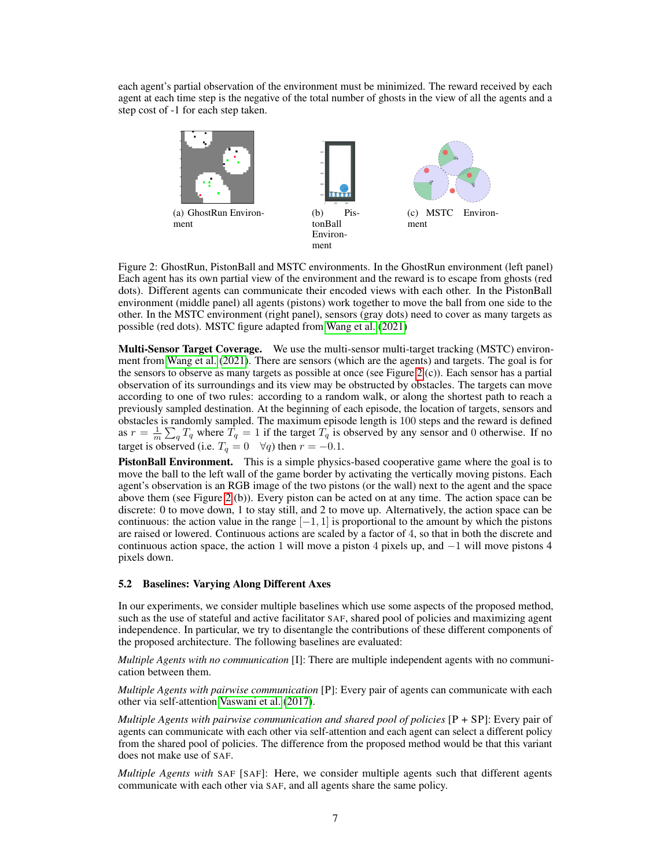each agent's partial observation of the environment must be minimized. The reward received by each agent at each time step is the negative of the total number of ghosts in the view of all the agents and a step cost of -1 for each step taken.



<span id="page-6-0"></span>Figure 2: GhostRun, PistonBall and MSTC environments. In the GhostRun environment (left panel) Each agent has its own partial view of the environment and the reward is to escape from ghosts (red dots). Different agents can communicate their encoded views with each other. In the PistonBall environment (middle panel) all agents (pistons) work together to move the ball from one side to the other. In the MSTC environment (right panel), sensors (gray dots) need to cover as many targets as possible (red dots). MSTC figure adapted from [Wang et al.](#page-12-10) [\(2021\)](#page-12-10)

Multi-Sensor Target Coverage. We use the multi-sensor multi-target tracking (MSTC) environment from [Wang et al.](#page-12-10) [\(2021\)](#page-12-10). There are sensors (which are the agents) and targets. The goal is for the sensors to observe as many targets as possible at once (see Figure [2](#page-6-0)  $(c)$ ). Each sensor has a partial observation of its surroundings and its view may be obstructed by obstacles. The targets can move according to one of two rules: according to a random walk, or along the shortest path to reach a previously sampled destination. At the beginning of each episode, the location of targets, sensors and obstacles is randomly sampled. The maximum episode length is 100 steps and the reward is defined as  $r = \frac{1}{m} \sum_q T_q$  where  $\hat{T}_q = 1$  if the target  $T_q$  is observed by any sensor and 0 otherwise. If no target is observed (i.e.  $T_q = 0 \quad \forall q$ ) then  $r = -0.1$ .

PistonBall Environment. This is a simple physics-based cooperative game where the goal is to move the ball to the left wall of the game border by activating the vertically moving pistons. Each agent's observation is an RGB image of the two pistons (or the wall) next to the agent and the space above them (see Figure [2](#page-6-0) (b)). Every piston can be acted on at any time. The action space can be discrete: 0 to move down, 1 to stay still, and 2 to move up. Alternatively, the action space can be continuous: the action value in the range  $[-1, 1]$  is proportional to the amount by which the pistons are raised or lowered. Continuous actions are scaled by a factor of 4, so that in both the discrete and continuous action space, the action 1 will move a piston 4 pixels up, and −1 will move pistons 4 pixels down.

#### 5.2 Baselines: Varying Along Different Axes

In our experiments, we consider multiple baselines which use some aspects of the proposed method, such as the use of stateful and active facilitator SAF, shared pool of policies and maximizing agent independence. In particular, we try to disentangle the contributions of these different components of the proposed architecture. The following baselines are evaluated:

*Multiple Agents with no communication* [I]: There are multiple independent agents with no communication between them.

*Multiple Agents with pairwise communication* [P]: Every pair of agents can communicate with each other via self-attention [Vaswani et al.](#page-12-6) [\(2017\)](#page-12-6).

*Multiple Agents with pairwise communication and shared pool of policies* [P + SP]: Every pair of agents can communicate with each other via self-attention and each agent can select a different policy from the shared pool of policies. The difference from the proposed method would be that this variant does not make use of SAF.

*Multiple Agents with* SAF [SAF]: Here, we consider multiple agents such that different agents communicate with each other via SAF, and all agents share the same policy.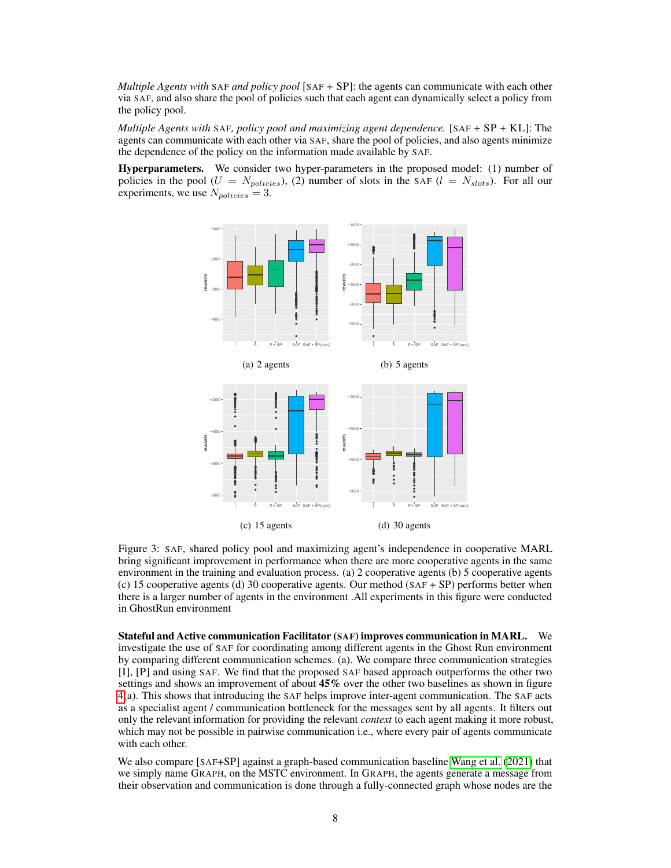*Multiple Agents with* SAF *and policy pool* [SAF + SP]: the agents can communicate with each other via SAF, and also share the pool of policies such that each agent can dynamically select a policy from the policy pool.

*Multiple Agents with* SAF*, policy pool and maximizing agent dependence.* [SAF + SP + KL]: The agents can communicate with each other via SAF, share the pool of policies, and also agents minimize the dependence of the policy on the information made available by SAF.

Hyperparameters. We consider two hyper-parameters in the proposed model: (1) number of policies in the pool ( $U = N_{policies}$ ), (2) number of slots in the SAF ( $l = N_{slots}$ ). For all our experiments, we use  $N_{policies} = 3$ .



<span id="page-7-0"></span>Figure 3: SAF, shared policy pool and maximizing agent's independence in cooperative MARL bring significant improvement in performance when there are more cooperative agents in the same environment in the training and evaluation process. (a) 2 cooperative agents (b) 5 cooperative agents (c) 15 cooperative agents (d) 30 cooperative agents. Our method (SAF + SP) performs better when there is a larger number of agents in the environment .All experiments in this figure were conducted in GhostRun environment

Stateful and Active communication Facilitator (SAF) improves communication in MARL. We investigate the use of SAF for coordinating among different agents in the Ghost Run environment by comparing different communication schemes. (a). We compare three communication strategies [I], [P] and using SAF. We find that the proposed SAF based approach outperforms the other two settings and shows an improvement of about 45% over the other two baselines as shown in figure [4\(](#page-8-0)a). This shows that introducing the SAF helps improve inter-agent communication. The SAF acts as a specialist agent / communication bottleneck for the messages sent by all agents. It filters out only the relevant information for providing the relevant *context* to each agent making it more robust, which may not be possible in pairwise communication i.e., where every pair of agents communicate with each other.

We also compare [SAF+SP] against a graph-based communication baseline [Wang et al.](#page-12-10) [\(2021\)](#page-12-10) that we simply name GRAPH, on the MSTC environment. In GRAPH, the agents generate a message from their observation and communication is done through a fully-connected graph whose nodes are the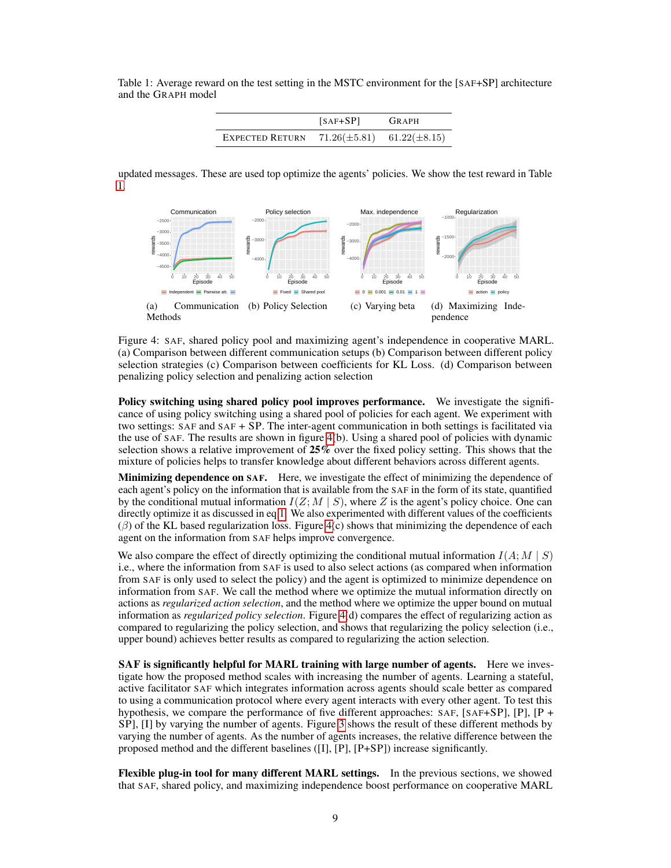<span id="page-8-1"></span>Table 1: Average reward on the test setting in the MSTC environment for the [SAF+SP] architecture and the GRAPH model

|                        | $[SAF+SP]$ | GRAPH                               |
|------------------------|------------|-------------------------------------|
| <b>EXPECTED RETURN</b> |            | $71.26(\pm 5.81)$ $61.22(\pm 8.15)$ |

updated messages. These are used top optimize the agents' policies. We show the test reward in Table [1.](#page-8-1)



<span id="page-8-0"></span>Figure 4: SAF, shared policy pool and maximizing agent's independence in cooperative MARL. (a) Comparison between different communication setups (b) Comparison between different policy selection strategies (c) Comparison between coefficients for KL Loss. (d) Comparison between penalizing policy selection and penalizing action selection

Policy switching using shared policy pool improves performance. We investigate the significance of using policy switching using a shared pool of policies for each agent. We experiment with two settings: SAF and SAF + SP. The inter-agent communication in both settings is facilitated via the use of SAF. The results are shown in figure [4\(](#page-8-0)b). Using a shared pool of policies with dynamic selection shows a relative improvement of 25% over the fixed policy setting. This shows that the mixture of policies helps to transfer knowledge about different behaviors across different agents.

Minimizing dependence on SAF. Here, we investigate the effect of minimizing the dependence of each agent's policy on the information that is available from the SAF in the form of its state, quantified by the conditional mutual information  $I(Z; M | S)$ , where Z is the agent's policy choice. One can directly optimize it as discussed in eq[.1.](#page-4-1) We also experimented with different values of the coefficients  $(\beta)$  of the KL based regularization loss. Figure [4\(](#page-8-0)c) shows that minimizing the dependence of each agent on the information from SAF helps improve convergence.

We also compare the effect of directly optimizing the conditional mutual information  $I(A; M | S)$ i.e., where the information from SAF is used to also select actions (as compared when information from SAF is only used to select the policy) and the agent is optimized to minimize dependence on information from SAF. We call the method where we optimize the mutual information directly on actions as *regularized action selection*, and the method where we optimize the upper bound on mutual information as *regularized policy selection*. Figure [4\(](#page-8-0)d) compares the effect of regularizing action as compared to regularizing the policy selection, and shows that regularizing the policy selection (i.e., upper bound) achieves better results as compared to regularizing the action selection.

SAF is significantly helpful for MARL training with large number of agents. Here we investigate how the proposed method scales with increasing the number of agents. Learning a stateful, active facilitator SAF which integrates information across agents should scale better as compared to using a communication protocol where every agent interacts with every other agent. To test this hypothesis, we compare the performance of five different approaches: SAF, [SAF+SP], [P], [P + SP], [I] by varying the number of agents. Figure [3](#page-7-0) shows the result of these different methods by varying the number of agents. As the number of agents increases, the relative difference between the proposed method and the different baselines  $([I], [P], [P+SP])$  increase significantly.

Flexible plug-in tool for many different MARL settings. In the previous sections, we showed that SAF, shared policy, and maximizing independence boost performance on cooperative MARL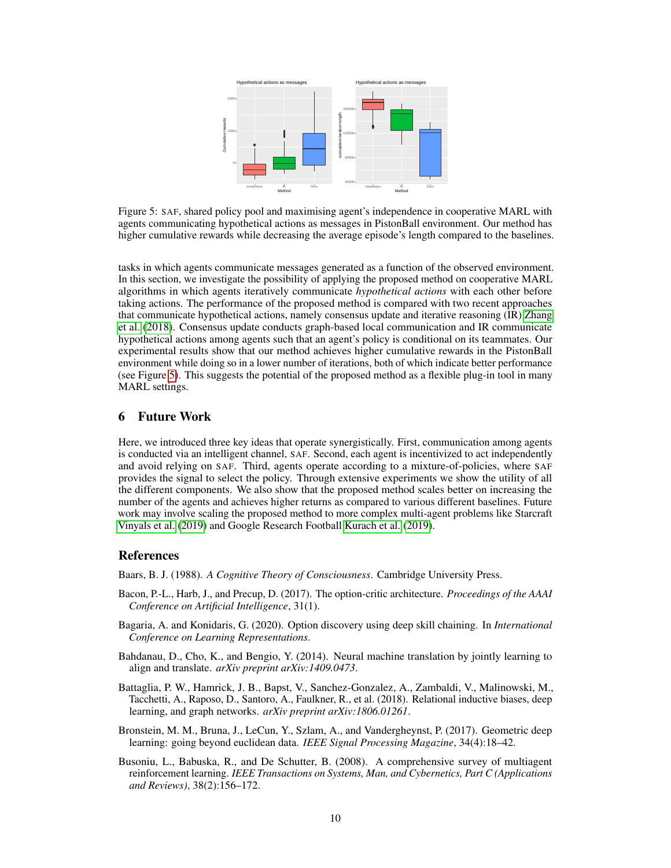

<span id="page-9-7"></span>Figure 5: SAF, shared policy pool and maximising agent's independence in cooperative MARL with agents communicating hypothetical actions as messages in PistonBall environment. Our method has higher cumulative rewards while decreasing the average episode's length compared to the baselines.

tasks in which agents communicate messages generated as a function of the observed environment. In this section, we investigate the possibility of applying the proposed method on cooperative MARL algorithms in which agents iteratively communicate *hypothetical actions* with each other before taking actions. The performance of the proposed method is compared with two recent approaches that communicate hypothetical actions, namely consensus update and iterative reasoning (IR) [Zhang](#page-12-14) [et al.](#page-12-14) [\(2018\)](#page-12-14). Consensus update conducts graph-based local communication and IR communicate hypothetical actions among agents such that an agent's policy is conditional on its teammates. Our experimental results show that our method achieves higher cumulative rewards in the PistonBall environment while doing so in a lower number of iterations, both of which indicate better performance (see Figure [5\)](#page-9-7). This suggests the potential of the proposed method as a flexible plug-in tool in many MARL settings.

## 6 Future Work

Here, we introduced three key ideas that operate synergistically. First, communication among agents is conducted via an intelligent channel, SAF. Second, each agent is incentivized to act independently and avoid relying on SAF. Third, agents operate according to a mixture-of-policies, where SAF provides the signal to select the policy. Through extensive experiments we show the utility of all the different components. We also show that the proposed method scales better on increasing the number of the agents and achieves higher returns as compared to various different baselines. Future work may involve scaling the proposed method to more complex multi-agent problems like Starcraft [Vinyals et al.](#page-12-15) [\(2019\)](#page-12-15) and Google Research Football [Kurach et al.](#page-11-18) [\(2019\)](#page-11-18).

#### References

<span id="page-9-6"></span>Baars, B. J. (1988). *A Cognitive Theory of Consciousness*. Cambridge University Press.

- <span id="page-9-2"></span>Bacon, P.-L., Harb, J., and Precup, D. (2017). The option-critic architecture. *Proceedings of the AAAI Conference on Artificial Intelligence*, 31(1).
- <span id="page-9-3"></span>Bagaria, A. and Konidaris, G. (2020). Option discovery using deep skill chaining. In *International Conference on Learning Representations*.
- <span id="page-9-1"></span>Bahdanau, D., Cho, K., and Bengio, Y. (2014). Neural machine translation by jointly learning to align and translate. *arXiv preprint arXiv:1409.0473*.
- <span id="page-9-5"></span>Battaglia, P. W., Hamrick, J. B., Bapst, V., Sanchez-Gonzalez, A., Zambaldi, V., Malinowski, M., Tacchetti, A., Raposo, D., Santoro, A., Faulkner, R., et al. (2018). Relational inductive biases, deep learning, and graph networks. *arXiv preprint arXiv:1806.01261*.
- <span id="page-9-4"></span>Bronstein, M. M., Bruna, J., LeCun, Y., Szlam, A., and Vandergheynst, P. (2017). Geometric deep learning: going beyond euclidean data. *IEEE Signal Processing Magazine*, 34(4):18–42.
- <span id="page-9-0"></span>Busoniu, L., Babuska, R., and De Schutter, B. (2008). A comprehensive survey of multiagent reinforcement learning. *IEEE Transactions on Systems, Man, and Cybernetics, Part C (Applications and Reviews)*, 38(2):156–172.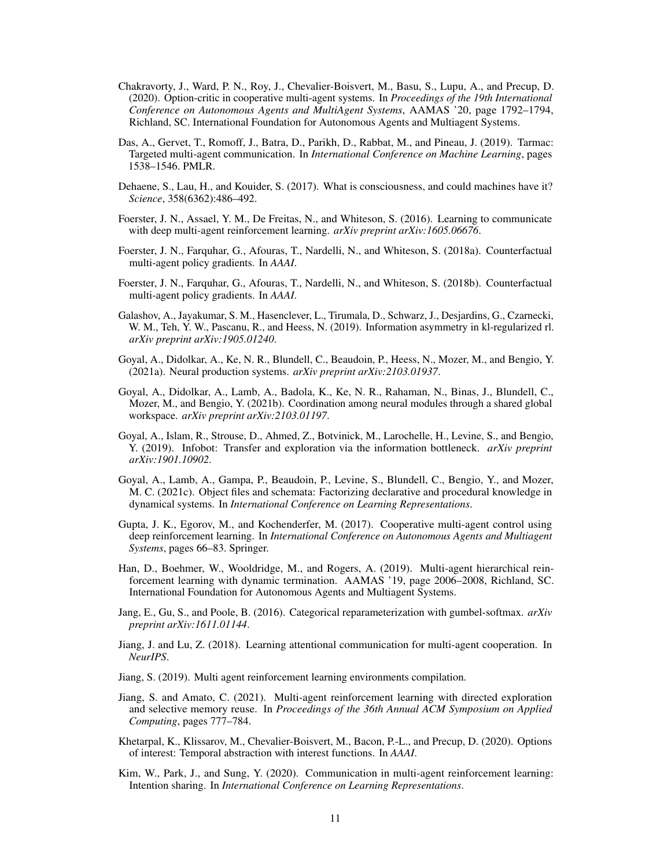- <span id="page-10-12"></span>Chakravorty, J., Ward, P. N., Roy, J., Chevalier-Boisvert, M., Basu, S., Lupu, A., and Precup, D. (2020). Option-critic in cooperative multi-agent systems. In *Proceedings of the 19th International Conference on Autonomous Agents and MultiAgent Systems*, AAMAS '20, page 1792–1794, Richland, SC. International Foundation for Autonomous Agents and Multiagent Systems.
- <span id="page-10-3"></span>Das, A., Gervet, T., Romoff, J., Batra, D., Parikh, D., Rabbat, M., and Pineau, J. (2019). Tarmac: Targeted multi-agent communication. In *International Conference on Machine Learning*, pages 1538–1546. PMLR.
- <span id="page-10-15"></span>Dehaene, S., Lau, H., and Kouider, S. (2017). What is consciousness, and could machines have it? *Science*, 358(6362):486–492.
- <span id="page-10-1"></span>Foerster, J. N., Assael, Y. M., De Freitas, N., and Whiteson, S. (2016). Learning to communicate with deep multi-agent reinforcement learning. *arXiv preprint arXiv:1605.06676*.
- <span id="page-10-0"></span>Foerster, J. N., Farquhar, G., Afouras, T., Nardelli, N., and Whiteson, S. (2018a). Counterfactual multi-agent policy gradients. In *AAAI*.
- <span id="page-10-9"></span>Foerster, J. N., Farquhar, G., Afouras, T., Nardelli, N., and Whiteson, S. (2018b). Counterfactual multi-agent policy gradients. In *AAAI*.
- <span id="page-10-5"></span>Galashov, A., Jayakumar, S. M., Hasenclever, L., Tirumala, D., Schwarz, J., Desjardins, G., Czarnecki, W. M., Teh, Y. W., Pascanu, R., and Heess, N. (2019). Information asymmetry in kl-regularized rl. *arXiv preprint arXiv:1905.01240*.
- <span id="page-10-14"></span>Goyal, A., Didolkar, A., Ke, N. R., Blundell, C., Beaudoin, P., Heess, N., Mozer, M., and Bengio, Y. (2021a). Neural production systems. *arXiv preprint arXiv:2103.01937*.
- <span id="page-10-16"></span>Goyal, A., Didolkar, A., Lamb, A., Badola, K., Ke, N. R., Rahaman, N., Binas, J., Blundell, C., Mozer, M., and Bengio, Y. (2021b). Coordination among neural modules through a shared global workspace. *arXiv preprint arXiv:2103.01197*.
- <span id="page-10-6"></span>Goyal, A., Islam, R., Strouse, D., Ahmed, Z., Botvinick, M., Larochelle, H., Levine, S., and Bengio, Y. (2019). Infobot: Transfer and exploration via the information bottleneck. *arXiv preprint arXiv:1901.10902*.
- <span id="page-10-7"></span>Goyal, A., Lamb, A., Gampa, P., Beaudoin, P., Levine, S., Blundell, C., Bengio, Y., and Mozer, M. C. (2021c). Object files and schemata: Factorizing declarative and procedural knowledge in dynamical systems. In *International Conference on Learning Representations*.
- <span id="page-10-2"></span>Gupta, J. K., Egorov, M., and Kochenderfer, M. (2017). Cooperative multi-agent control using deep reinforcement learning. In *International Conference on Autonomous Agents and Multiagent Systems*, pages 66–83. Springer.
- <span id="page-10-11"></span>Han, D., Boehmer, W., Wooldridge, M., and Rogers, A. (2019). Multi-agent hierarchical reinforcement learning with dynamic termination. AAMAS '19, page 2006–2008, Richland, SC. International Foundation for Autonomous Agents and Multiagent Systems.
- <span id="page-10-8"></span>Jang, E., Gu, S., and Poole, B. (2016). Categorical reparameterization with gumbel-softmax. *arXiv preprint arXiv:1611.01144*.
- <span id="page-10-10"></span>Jiang, J. and Lu, Z. (2018). Learning attentional communication for multi-agent cooperation. In *NeurIPS*.
- <span id="page-10-17"></span>Jiang, S. (2019). Multi agent reinforcement learning environments compilation.
- <span id="page-10-18"></span>Jiang, S. and Amato, C. (2021). Multi-agent reinforcement learning with directed exploration and selective memory reuse. In *Proceedings of the 36th Annual ACM Symposium on Applied Computing*, pages 777–784.
- <span id="page-10-13"></span>Khetarpal, K., Klissarov, M., Chevalier-Boisvert, M., Bacon, P.-L., and Precup, D. (2020). Options of interest: Temporal abstraction with interest functions. In *AAAI*.
- <span id="page-10-4"></span>Kim, W., Park, J., and Sung, Y. (2020). Communication in multi-agent reinforcement learning: Intention sharing. In *International Conference on Learning Representations*.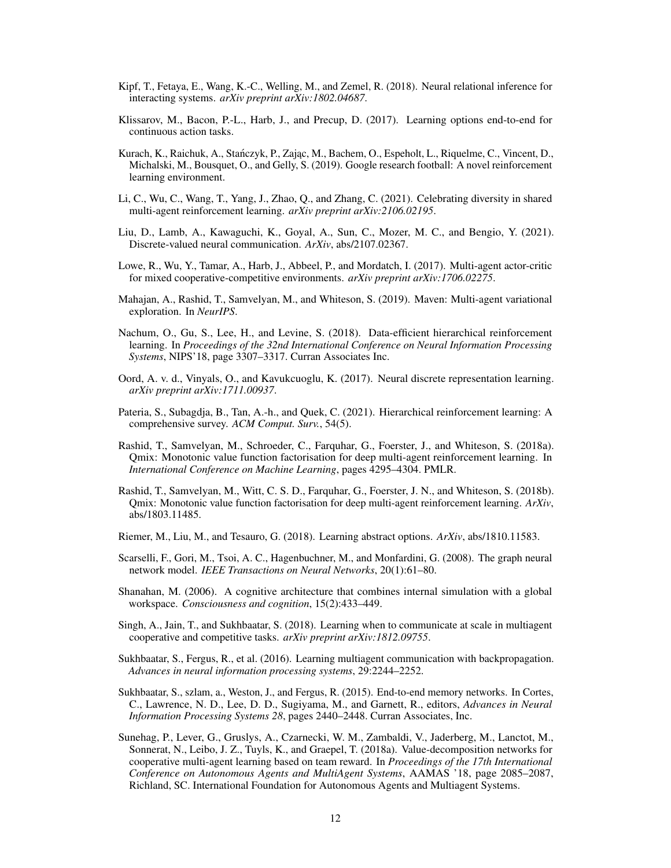- <span id="page-11-14"></span>Kipf, T., Fetaya, E., Wang, K.-C., Welling, M., and Zemel, R. (2018). Neural relational inference for interacting systems. *arXiv preprint arXiv:1802.04687*.
- <span id="page-11-10"></span>Klissarov, M., Bacon, P.-L., Harb, J., and Precup, D. (2017). Learning options end-to-end for continuous action tasks.
- <span id="page-11-18"></span>Kurach, K., Raichuk, A., Stańczyk, P., Zając, M., Bachem, O., Espeholt, L., Riquelme, C., Vincent, D., Michalski, M., Bousquet, O., and Gelly, S. (2019). Google research football: A novel reinforcement learning environment.
- <span id="page-11-5"></span>Li, C., Wu, C., Wang, T., Yang, J., Zhao, Q., and Zhang, C. (2021). Celebrating diversity in shared multi-agent reinforcement learning. *arXiv preprint arXiv:2106.02195*.
- <span id="page-11-15"></span>Liu, D., Lamb, A., Kawaguchi, K., Goyal, A., Sun, C., Mozer, M. C., and Bengio, Y. (2021). Discrete-valued neural communication. *ArXiv*, abs/2107.02367.
- <span id="page-11-2"></span>Lowe, R., Wu, Y., Tamar, A., Harb, J., Abbeel, P., and Mordatch, I. (2017). Multi-agent actor-critic for mixed cooperative-competitive environments. *arXiv preprint arXiv:1706.02275*.
- <span id="page-11-7"></span>Mahajan, A., Rashid, T., Samvelyan, M., and Whiteson, S. (2019). Maven: Multi-agent variational exploration. In *NeurIPS*.
- <span id="page-11-12"></span>Nachum, O., Gu, S., Lee, H., and Levine, S. (2018). Data-efficient hierarchical reinforcement learning. In *Proceedings of the 32nd International Conference on Neural Information Processing Systems*, NIPS'18, page 3307–3317. Curran Associates Inc.
- <span id="page-11-16"></span>Oord, A. v. d., Vinyals, O., and Kavukcuoglu, K. (2017). Neural discrete representation learning. *arXiv preprint arXiv:1711.00937*.
- <span id="page-11-9"></span>Pateria, S., Subagdja, B., Tan, A.-h., and Quek, C. (2021). Hierarchical reinforcement learning: A comprehensive survey. *ACM Comput. Surv.*, 54(5).
- <span id="page-11-0"></span>Rashid, T., Samvelyan, M., Schroeder, C., Farquhar, G., Foerster, J., and Whiteson, S. (2018a). Qmix: Monotonic value function factorisation for deep multi-agent reinforcement learning. In *International Conference on Machine Learning*, pages 4295–4304. PMLR.
- <span id="page-11-6"></span>Rashid, T., Samvelyan, M., Witt, C. S. D., Farquhar, G., Foerster, J. N., and Whiteson, S. (2018b). Qmix: Monotonic value function factorisation for deep multi-agent reinforcement learning. *ArXiv*, abs/1803.11485.
- <span id="page-11-11"></span>Riemer, M., Liu, M., and Tesauro, G. (2018). Learning abstract options. *ArXiv*, abs/1810.11583.
- <span id="page-11-13"></span>Scarselli, F., Gori, M., Tsoi, A. C., Hagenbuchner, M., and Monfardini, G. (2008). The graph neural network model. *IEEE Transactions on Neural Networks*, 20(1):61–80.
- <span id="page-11-17"></span>Shanahan, M. (2006). A cognitive architecture that combines internal simulation with a global workspace. *Consciousness and cognition*, 15(2):433–449.
- <span id="page-11-4"></span>Singh, A., Jain, T., and Sukhbaatar, S. (2018). Learning when to communicate at scale in multiagent cooperative and competitive tasks. *arXiv preprint arXiv:1812.09755*.
- <span id="page-11-3"></span>Sukhbaatar, S., Fergus, R., et al. (2016). Learning multiagent communication with backpropagation. *Advances in neural information processing systems*, 29:2244–2252.
- <span id="page-11-8"></span>Sukhbaatar, S., szlam, a., Weston, J., and Fergus, R. (2015). End-to-end memory networks. In Cortes, C., Lawrence, N. D., Lee, D. D., Sugiyama, M., and Garnett, R., editors, *Advances in Neural Information Processing Systems 28*, pages 2440–2448. Curran Associates, Inc.
- <span id="page-11-1"></span>Sunehag, P., Lever, G., Gruslys, A., Czarnecki, W. M., Zambaldi, V., Jaderberg, M., Lanctot, M., Sonnerat, N., Leibo, J. Z., Tuyls, K., and Graepel, T. (2018a). Value-decomposition networks for cooperative multi-agent learning based on team reward. In *Proceedings of the 17th International Conference on Autonomous Agents and MultiAgent Systems*, AAMAS '18, page 2085–2087, Richland, SC. International Foundation for Autonomous Agents and Multiagent Systems.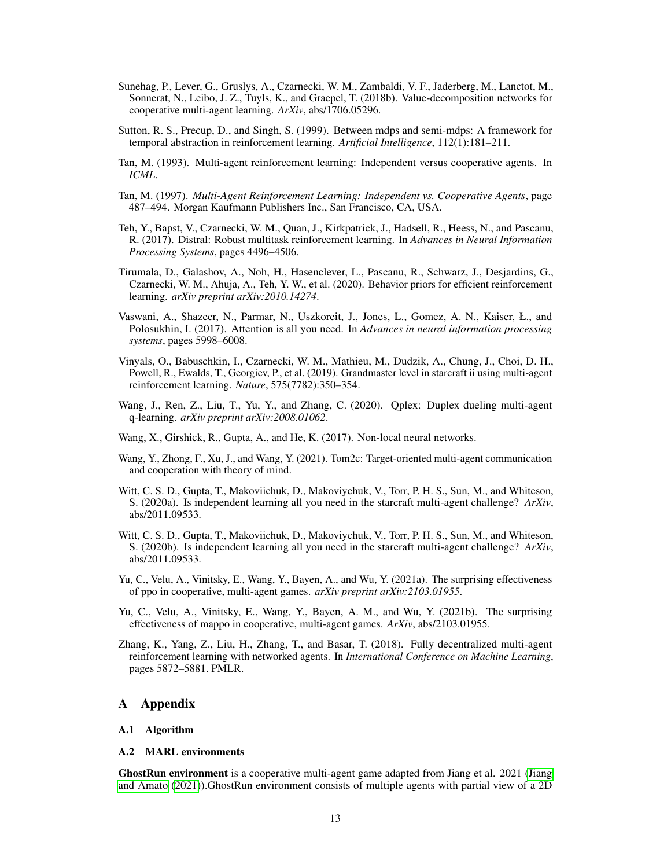- <span id="page-12-8"></span>Sunehag, P., Lever, G., Gruslys, A., Czarnecki, W. M., Zambaldi, V. F., Jaderberg, M., Lanctot, M., Sonnerat, N., Leibo, J. Z., Tuyls, K., and Graepel, T. (2018b). Value-decomposition networks for cooperative multi-agent learning. *ArXiv*, abs/1706.05296.
- <span id="page-12-11"></span>Sutton, R. S., Precup, D., and Singh, S. (1999). Between mdps and semi-mdps: A framework for temporal abstraction in reinforcement learning. *Artificial Intelligence*, 112(1):181–211.
- <span id="page-12-12"></span>Tan, M. (1993). Multi-agent reinforcement learning: Independent versus cooperative agents. In *ICML*.
- <span id="page-12-1"></span>Tan, M. (1997). *Multi-Agent Reinforcement Learning: Independent vs. Cooperative Agents*, page 487–494. Morgan Kaufmann Publishers Inc., San Francisco, CA, USA.
- <span id="page-12-3"></span>Teh, Y., Bapst, V., Czarnecki, W. M., Quan, J., Kirkpatrick, J., Hadsell, R., Heess, N., and Pascanu, R. (2017). Distral: Robust multitask reinforcement learning. In *Advances in Neural Information Processing Systems*, pages 4496–4506.
- <span id="page-12-4"></span>Tirumala, D., Galashov, A., Noh, H., Hasenclever, L., Pascanu, R., Schwarz, J., Desjardins, G., Czarnecki, W. M., Ahuja, A., Teh, Y. W., et al. (2020). Behavior priors for efficient reinforcement learning. *arXiv preprint arXiv:2010.14274*.
- <span id="page-12-6"></span>Vaswani, A., Shazeer, N., Parmar, N., Uszkoreit, J., Jones, L., Gomez, A. N., Kaiser, Ł., and Polosukhin, I. (2017). Attention is all you need. In *Advances in neural information processing systems*, pages 5998–6008.
- <span id="page-12-15"></span>Vinyals, O., Babuschkin, I., Czarnecki, W. M., Mathieu, M., Dudzik, A., Chung, J., Choi, D. H., Powell, R., Ewalds, T., Georgiev, P., et al. (2019). Grandmaster level in starcraft ii using multi-agent reinforcement learning. *Nature*, 575(7782):350–354.
- <span id="page-12-9"></span>Wang, J., Ren, Z., Liu, T., Yu, Y., and Zhang, C. (2020). Qplex: Duplex dueling multi-agent q-learning. *arXiv preprint arXiv:2008.01062*.
- <span id="page-12-2"></span>Wang, X., Girshick, R., Gupta, A., and He, K. (2017). Non-local neural networks.
- <span id="page-12-10"></span>Wang, Y., Zhong, F., Xu, J., and Wang, Y. (2021). Tom2c: Target-oriented multi-agent communication and cooperation with theory of mind.
- <span id="page-12-0"></span>Witt, C. S. D., Gupta, T., Makoviichuk, D., Makoviychuk, V., Torr, P. H. S., Sun, M., and Whiteson, S. (2020a). Is independent learning all you need in the starcraft multi-agent challenge? *ArXiv*, abs/2011.09533.
- <span id="page-12-13"></span>Witt, C. S. D., Gupta, T., Makoviichuk, D., Makoviychuk, V., Torr, P. H. S., Sun, M., and Whiteson, S. (2020b). Is independent learning all you need in the starcraft multi-agent challenge? *ArXiv*, abs/2011.09533.
- <span id="page-12-16"></span>Yu, C., Velu, A., Vinitsky, E., Wang, Y., Bayen, A., and Wu, Y. (2021a). The surprising effectiveness of ppo in cooperative, multi-agent games. *arXiv preprint arXiv:2103.01955*.
- <span id="page-12-7"></span>Yu, C., Velu, A., Vinitsky, E., Wang, Y., Bayen, A. M., and Wu, Y. (2021b). The surprising effectiveness of mappo in cooperative, multi-agent games. *ArXiv*, abs/2103.01955.
- <span id="page-12-14"></span>Zhang, K., Yang, Z., Liu, H., Zhang, T., and Basar, T. (2018). Fully decentralized multi-agent reinforcement learning with networked agents. In *International Conference on Machine Learning*, pages 5872–5881. PMLR.

#### A Appendix

#### <span id="page-12-5"></span>A.1 Algorithm

#### A.2 MARL environments

GhostRun environment is a cooperative multi-agent game adapted from Jiang et al. 2021 [\(Jiang](#page-10-18) [and Amato](#page-10-18) [\(2021\)](#page-10-18)).GhostRun environment consists of multiple agents with partial view of a 2D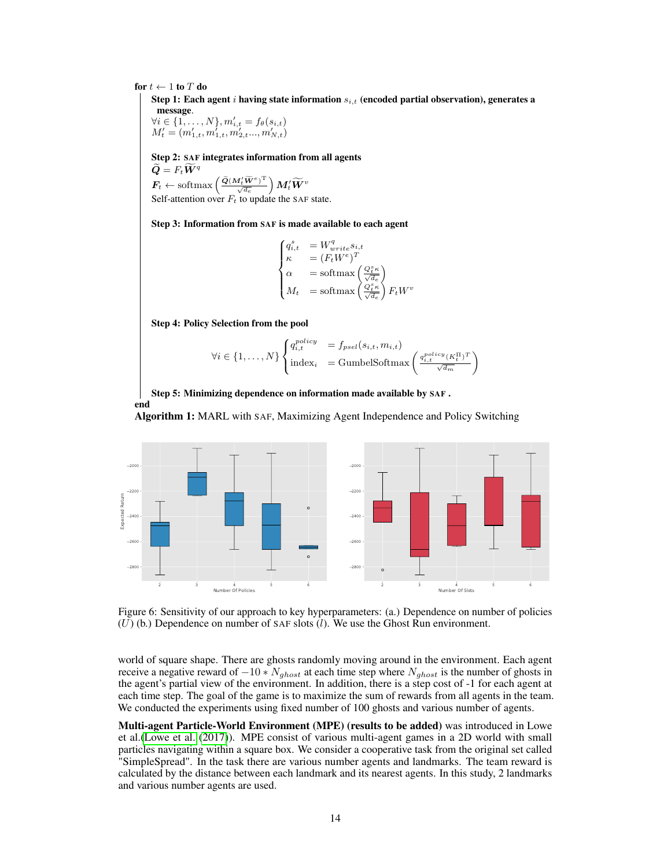<span id="page-13-0"></span>for  $t \leftarrow 1$  to T do

end

Step 1: Each agent  $i$  having state information  $s_{i,t}$  (encoded partial observation), generates a message.

 $\forall i \in \{1, \ldots, N\}, m'_{i,t} = f_{\theta}(s_{i,t})$  $M'_t = (m'_{1,t}, m'_{1,t}, m'_{2,t}..., m'_{N,t})$ 

Step 2: SAF integrates information from all agents  $\widetilde{\bm{Q}}=F_t\widetilde{\bm{W}}^{q}$  $\boldsymbol{F_t} \leftarrow \text{softmax}\left(\frac{\widetilde{\boldsymbol{Q}}(\boldsymbol{M}_t^{\prime} \widetilde{\boldsymbol{W}}^{e})^\text{T}}{\sqrt{d_e}}\right) \boldsymbol{M}_t^{\prime} \widetilde{\boldsymbol{W}}^{v}$ 

Self-attention over  $F_t$  to update the SAF state.

Step 3: Information from SAF is made available to each agent

$$
\begin{cases} q_{i,t}^s &= W_{write}^q s_{i,t} \\ \kappa &= \left( F_t W^e \right)^T \\ \alpha &= \text{softmax} \left( \frac{Q_t^s \kappa}{\sqrt{d_e}} \right) \\ M_t &= \text{softmax} \left( \frac{Q_t^s \kappa}{\sqrt{d_e}} \right) F_t W^v \end{cases}
$$

Step 4: Policy Selection from the pool

$$
\forall i \in \{1, ..., N\} \begin{cases} q_{i,t}^{policy} &= f_{psel}(s_{i,t}, m_{i,t})\\ \text{index}_{i} &= \text{GumbelSoftmax}\left(\frac{q_{i,t}^{policy}(K_{t}^{H})^{T}}{\sqrt{d_{m}}}\right) \end{cases}
$$

Step 5: Minimizing dependence on information made available by SAF .

Algorithm 1: MARL with SAF, Maximizing Agent Independence and Policy Switching



<span id="page-13-1"></span>Figure 6: Sensitivity of our approach to key hyperparameters: (a.) Dependence on number of policies  $(U)$  (b.) Dependence on number of SAF slots  $(l)$ . We use the Ghost Run environment.

world of square shape. There are ghosts randomly moving around in the environment. Each agent receive a negative reward of  $-10 \times N_{ghost}$  at each time step where  $N_{ghost}$  is the number of ghosts in the agent's partial view of the environment. In addition, there is a step cost of -1 for each agent at each time step. The goal of the game is to maximize the sum of rewards from all agents in the team. We conducted the experiments using fixed number of 100 ghosts and various number of agents.

Multi-agent Particle-World Environment (MPE) (results to be added) was introduced in Lowe et al.[\(Lowe et al.](#page-11-2) [\(2017\)](#page-11-2)). MPE consist of various multi-agent games in a 2D world with small particles navigating within a square box. We consider a cooperative task from the original set called "SimpleSpread". In the task there are various number agents and landmarks. The team reward is calculated by the distance between each landmark and its nearest agents. In this study, 2 landmarks and various number agents are used.